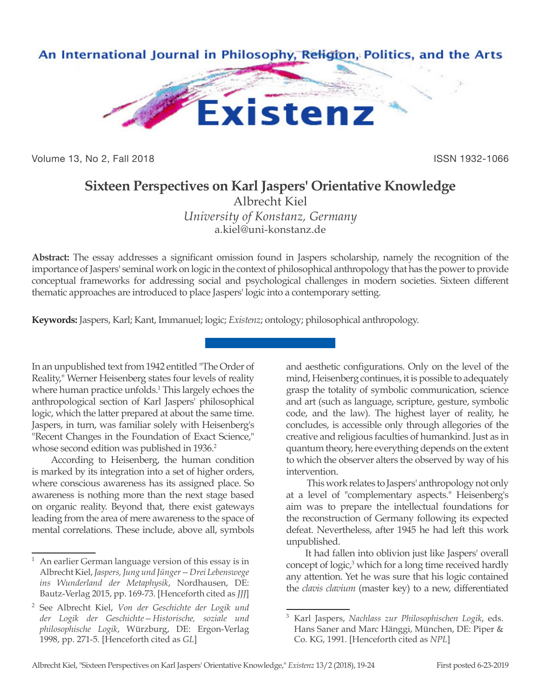

Volume 13, No 2, Fall 2018 ISSN 1932-1066

## **Sixteen Perspectives on Karl Jaspers' Orientative Knowledge**

Albrecht Kiel *University of Konstanz, Germany* a.kiel@uni-konstanz.de

**Abstract:** The essay addresses a significant omission found in Jaspers scholarship, namely the recognition of the importance of Jaspers' seminal work on logic in the context of philosophical anthropology that has the power to provide conceptual frameworks for addressing social and psychological challenges in modern societies. Sixteen different thematic approaches are introduced to place Jaspers' logic into a contemporary setting.

**Keywords:** Jaspers, Karl; Kant, Immanuel; logic; *Existenz*; ontology; philosophical anthropology.

In an unpublished text from 1942 entitled "The Order of Reality," Werner Heisenberg states four levels of reality where human practice unfolds.<sup>1</sup> This largely echoes the anthropological section of Karl Jaspers' philosophical logic, which the latter prepared at about the same time. Jaspers, in turn, was familiar solely with Heisenberg's "Recent Changes in the Foundation of Exact Science," whose second edition was published in 1936.<sup>2</sup>

According to Heisenberg, the human condition is marked by its integration into a set of higher orders, where conscious awareness has its assigned place. So awareness is nothing more than the next stage based on organic reality. Beyond that, there exist gateways leading from the area of mere awareness to the space of mental correlations. These include, above all, symbols

and aesthetic configurations. Only on the level of the mind, Heisenberg continues, it is possible to adequately grasp the totality of symbolic communication, science and art (such as language, scripture, gesture, symbolic code, and the law). The highest layer of reality, he concludes, is accessible only through allegories of the creative and religious faculties of humankind. Just as in quantum theory, here everything depends on the extent to which the observer alters the observed by way of his intervention.

 This work relates to Jaspers' anthropology not only at a level of "complementary aspects." Heisenberg's aim was to prepare the intellectual foundations for the reconstruction of Germany following its expected defeat. Nevertheless, after 1945 he had left this work unpublished.

It had fallen into oblivion just like Jaspers' overall concept of logic,<sup>3</sup> which for a long time received hardly any attention. Yet he was sure that his logic contained the *clavis clavium* (master key) to a new, differentiated

An earlier German language version of this essay is in Albrecht Kiel, *Jaspers, Jung und Jünger—Drei Lebenswege ins Wunderland der Metaphysik*, Nordhausen, DE: Bautz-Verlag 2015, pp. 169-73. [Henceforth cited as *JJJ*]

<sup>2</sup> See Albrecht Kiel, *Von der Geschichte der Logik und der Logik der Geschichte—Historische, soziale und philosophische Logik*, Würzburg, DE: Ergon-Verlag 1998, pp. 271-5. [Henceforth cited as *GL*]

<sup>3</sup> Karl Jaspers, *Nachlass zur Philosophischen Logik*, eds. Hans Saner and Marc Hänggi, München, DE: Piper & Co. KG, 1991. [Henceforth cited as *NPL*]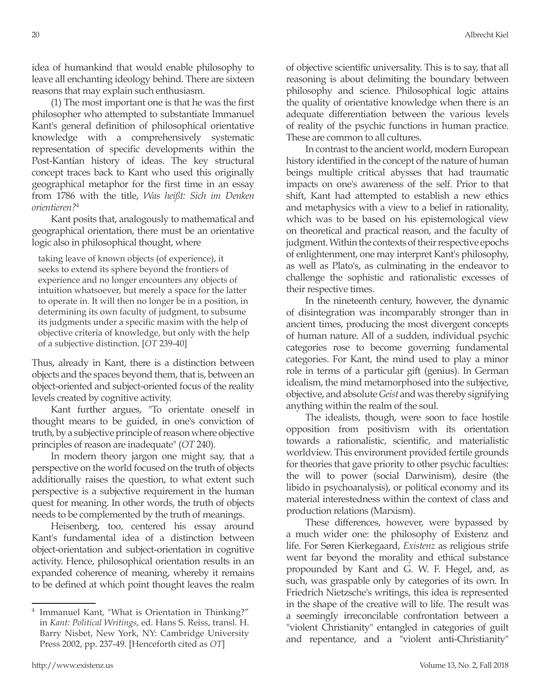idea of humankind that would enable philosophy to leave all enchanting ideology behind. There are sixteen reasons that may explain such enthusiasm.

(1) The most important one is that he was the first philosopher who attempted to substantiate Immanuel Kant's general definition of philosophical orientative knowledge with a comprehensively systematic representation of specific developments within the Post-Kantian history of ideas. The key structural concept traces back to Kant who used this originally geographical metaphor for the first time in an essay from 1786 with the title, *Was heißt: Sich im Denken orientieren?*<sup>4</sup>

Kant posits that, analogously to mathematical and geographical orientation, there must be an orientative logic also in philosophical thought, where

taking leave of known objects (of experience), it seeks to extend its sphere beyond the frontiers of experience and no longer encounters any objects of intuition whatsoever, but merely a space for the latter to operate in. It will then no longer be in a position, in determining its own faculty of judgment, to subsume its judgments under a specific maxim with the help of objective criteria of knowledge, but only with the help of a subjective distinction. [*OT* 239-40]

Thus, already in Kant, there is a distinction between objects and the spaces beyond them, that is, between an object-oriented and subject-oriented focus of the reality levels created by cognitive activity.

Kant further argues, "To orientate oneself in thought means to be guided, in one's conviction of truth, by a subjective principle of reason where objective principles of reason are inadequate" (*OT* 240).

In modern theory jargon one might say, that a perspective on the world focused on the truth of objects additionally raises the question, to what extent such perspective is a subjective requirement in the human quest for meaning. In other words, the truth of objects needs to be complemented by the truth of meanings.

Heisenberg, too, centered his essay around Kant's fundamental idea of a distinction between object-orientation and subject-orientation in cognitive activity. Hence, philosophical orientation results in an expanded coherence of meaning, whereby it remains to be defined at which point thought leaves the realm of objective scientific universality. This is to say, that all reasoning is about delimiting the boundary between philosophy and science. Philosophical logic attains the quality of orientative knowledge when there is an adequate differentiation between the various levels of reality of the psychic functions in human practice. These are common to all cultures.

In contrast to the ancient world, modern European history identified in the concept of the nature of human beings multiple critical abysses that had traumatic impacts on one's awareness of the self. Prior to that shift, Kant had attempted to establish a new ethics and metaphysics with a view to a belief in rationality, which was to be based on his epistemological view on theoretical and practical reason, and the faculty of judgment. Within the contexts of their respective epochs of enlightenment, one may interpret Kant's philosophy, as well as Plato's, as culminating in the endeavor to challenge the sophistic and rationalistic excesses of their respective times.

In the nineteenth century, however, the dynamic of disintegration was incomparably stronger than in ancient times, producing the most divergent concepts of human nature. All of a sudden, individual psychic categories rose to become governing fundamental categories. For Kant, the mind used to play a minor role in terms of a particular gift (genius). In German idealism, the mind metamorphosed into the subjective, objective, and absolute *Geist* and was thereby signifying anything within the realm of the soul.

The idealists, though, were soon to face hostile opposition from positivism with its orientation towards a rationalistic, scientific, and materialistic worldview. This environment provided fertile grounds for theories that gave priority to other psychic faculties: the will to power (social Darwinism), desire (the libido in psychoanalysis), or political economy and its material interestedness within the context of class and production relations (Marxism).

These differences, however, were bypassed by a much wider one: the philosophy of Existenz and life. For Søren Kierkegaard, *Existenz* as religious strife went far beyond the morality and ethical substance propounded by Kant and G. W. F. Hegel, and, as such, was graspable only by categories of its own. In Friedrich Nietzsche's writings, this idea is represented in the shape of the creative will to life. The result was a seemingly irreconcilable confrontation between a "violent Christianity" entangled in categories of guilt and repentance, and a "violent anti-Christianity"

<sup>4</sup> Immanuel Kant, "What is Orientation in Thinking?" in *Kant: Political Writings*, ed. Hans S. Reiss, transl. H. Barry Nisbet, New York, NY: Cambridge University Press 2002, pp. 237-49. [Henceforth cited as *OT*]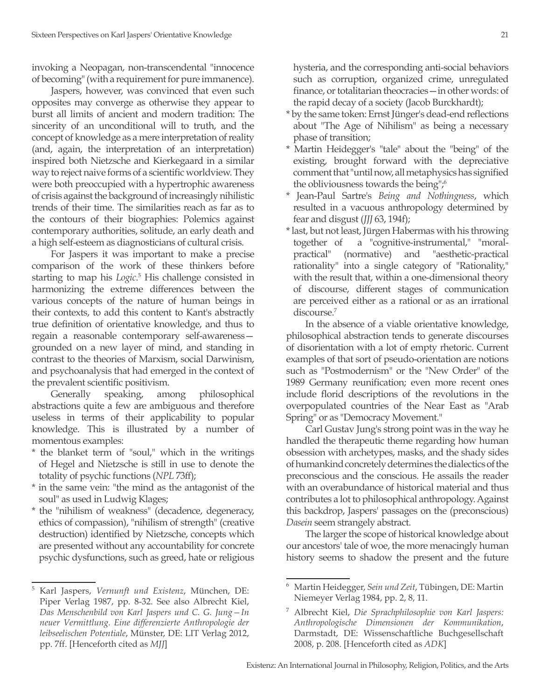invoking a Neopagan, non-transcendental "innocence of becoming" (with a requirement for pure immanence).

Jaspers, however, was convinced that even such opposites may converge as otherwise they appear to burst all limits of ancient and modern tradition: The sincerity of an unconditional will to truth, and the concept of knowledge as a mere interpretation of reality (and, again, the interpretation of an interpretation) inspired both Nietzsche and Kierkegaard in a similar way to reject naive forms of a scientific worldview. They were both preoccupied with a hypertrophic awareness of crisis against the background of increasingly nihilistic trends of their time. The similarities reach as far as to the contours of their biographies: Polemics against contemporary authorities, solitude, an early death and a high self-esteem as diagnosticians of cultural crisis.

For Jaspers it was important to make a precise comparison of the work of these thinkers before starting to map his *Logic*.<sup>5</sup> His challenge consisted in harmonizing the extreme differences between the various concepts of the nature of human beings in their contexts, to add this content to Kant's abstractly true definition of orientative knowledge, and thus to regain a reasonable contemporary self-awareness grounded on a new layer of mind, and standing in contrast to the theories of Marxism, social Darwinism, and psychoanalysis that had emerged in the context of the prevalent scientific positivism.

Generally speaking, among philosophical abstractions quite a few are ambiguous and therefore useless in terms of their applicability to popular knowledge. This is illustrated by a number of momentous examples:

- \* the blanket term of "soul," which in the writings of Hegel and Nietzsche is still in use to denote the totality of psychic functions (*NPL* 73ff);
- \* in the same vein: "the mind as the antagonist of the soul" as used in Ludwig Klages;
- \* the "nihilism of weakness" (decadence, degeneracy, ethics of compassion), "nihilism of strength" (creative destruction) identified by Nietzsche, concepts which are presented without any accountability for concrete psychic dysfunctions, such as greed, hate or religious

hysteria, and the corresponding anti-social behaviors such as corruption, organized crime, unregulated finance, or totalitarian theocracies—in other words: of the rapid decay of a society (Jacob Burckhardt);

- \* by the same token: Ernst Jünger's dead-end reflections about "The Age of Nihilism" as being a necessary phase of transition;
- \* Martin Heidegger's "tale" about the "being" of the existing, brought forward with the depreciative comment that "until now, all metaphysics has signified the obliviousness towards the being",<sup>6</sup>
- \* Jean-Paul Sartre's *Being and Nothingness*, which resulted in a vacuous anthropology determined by fear and disgust (*JJJ* 63, 194f);
- \* last, but not least, Jürgen Habermas with his throwing together of a "cognitive-instrumental," "moralpractical" (normative) and "aesthetic-practical rationality" into a single category of "Rationality," with the result that, within a one-dimensional theory of discourse, different stages of communication are perceived either as a rational or as an irrational discourse.<sup>7</sup>

In the absence of a viable orientative knowledge, philosophical abstraction tends to generate discourses of disorientation with a lot of empty rhetoric. Current examples of that sort of pseudo-orientation are notions such as "Postmodernism" or the "New Order" of the 1989 Germany reunification; even more recent ones include florid descriptions of the revolutions in the overpopulated countries of the Near East as "Arab Spring" or as "Democracy Movement."

Carl Gustav Jung's strong point was in the way he handled the therapeutic theme regarding how human obsession with archetypes, masks, and the shady sides of humankind concretely determines the dialectics of the preconscious and the conscious. He assails the reader with an overabundance of historical material and thus contributes a lot to philosophical anthropology. Against this backdrop, Jaspers' passages on the (preconscious) *Dasein* seem strangely abstract.

The larger the scope of historical knowledge about our ancestors' tale of woe, the more menacingly human history seems to shadow the present and the future

<sup>5</sup> Karl Jaspers, *Vernunft und Existenz*, München, DE: Piper Verlag 1987, pp. 8-32. See also Albrecht Kiel, *Das Menschenbild von Karl Jaspers und C. G. Jung—In neuer Vermittlung. Eine differenzierte Anthropologie der leibseelischen Potentiale*, Münster, DE: LIT Verlag 2012, pp. 7ff. [Henceforth cited as *MJJ*]

<sup>6</sup> Martin Heidegger, *Sein und Zeit*, Tübingen, DE: Martin Niemeyer Verlag 1984, pp. 2, 8, 11.

<sup>7</sup> Albrecht Kiel, *Die Sprachphilosophie von Karl Jaspers: Anthropologische Dimensionen der Kommunikation*, Darmstadt, DE: Wissenschaftliche Buchgesellschaft 2008, p. 208. [Henceforth cited as *ADK*]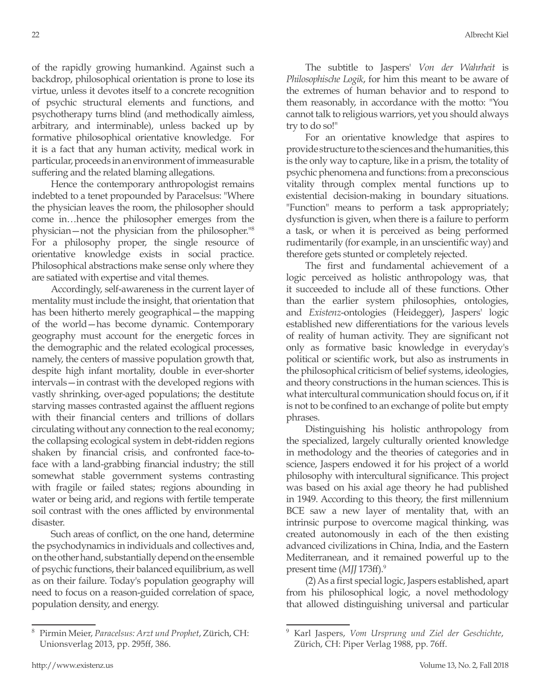of the rapidly growing humankind. Against such a backdrop, philosophical orientation is prone to lose its virtue, unless it devotes itself to a concrete recognition of psychic structural elements and functions, and psychotherapy turns blind (and methodically aimless, arbitrary, and interminable), unless backed up by formative philosophical orientative knowledge. For it is a fact that any human activity, medical work in particular, proceeds in an environment of immeasurable suffering and the related blaming allegations.

Hence the contemporary anthropologist remains indebted to a tenet propounded by Paracelsus: "Where the physician leaves the room, the philosopher should come in…hence the philosopher emerges from the physician—not the physician from the philosopher."8 For a philosophy proper, the single resource of orientative knowledge exists in social practice. Philosophical abstractions make sense only where they are satiated with expertise and vital themes.

Accordingly, self-awareness in the current layer of mentality must include the insight, that orientation that has been hitherto merely geographical—the mapping of the world—has become dynamic. Contemporary geography must account for the energetic forces in the demographic and the related ecological processes, namely, the centers of massive population growth that, despite high infant mortality, double in ever-shorter intervals—in contrast with the developed regions with vastly shrinking, over-aged populations; the destitute starving masses contrasted against the affluent regions with their financial centers and trillions of dollars circulating without any connection to the real economy; the collapsing ecological system in debt-ridden regions shaken by financial crisis, and confronted face-toface with a land-grabbing financial industry; the still somewhat stable government systems contrasting with fragile or failed states; regions abounding in water or being arid, and regions with fertile temperate soil contrast with the ones afflicted by environmental disaster.

Such areas of conflict, on the one hand, determine the psychodynamics in individuals and collectives and, on the other hand, substantially depend on the ensemble of psychic functions, their balanced equilibrium, as well as on their failure. Today's population geography will need to focus on a reason-guided correlation of space, population density, and energy.

The subtitle to Jaspers' *Von der Wahrheit* is *Philosophische Logik*, for him this meant to be aware of the extremes of human behavior and to respond to them reasonably, in accordance with the motto: "You cannot talk to religious warriors, yet you should always try to do so!"

For an orientative knowledge that aspires to provide structure to the sciences and the humanities, this is the only way to capture, like in a prism, the totality of psychic phenomena and functions: from a preconscious vitality through complex mental functions up to existential decision-making in boundary situations. "Function" means to perform a task appropriately; dysfunction is given, when there is a failure to perform a task, or when it is perceived as being performed rudimentarily (for example, in an unscientific way) and therefore gets stunted or completely rejected.

The first and fundamental achievement of a logic perceived as holistic anthropology was, that it succeeded to include all of these functions. Other than the earlier system philosophies, ontologies, and *Existenz*-ontologies (Heidegger), Jaspers' logic established new differentiations for the various levels of reality of human activity. They are significant not only as formative basic knowledge in everyday's political or scientific work, but also as instruments in the philosophical criticism of belief systems, ideologies, and theory constructions in the human sciences. This is what intercultural communication should focus on, if it is not to be confined to an exchange of polite but empty phrases.

Distinguishing his holistic anthropology from the specialized, largely culturally oriented knowledge in methodology and the theories of categories and in science, Jaspers endowed it for his project of a world philosophy with intercultural significance. This project was based on his axial age theory he had published in 1949. According to this theory, the first millennium BCE saw a new layer of mentality that, with an intrinsic purpose to overcome magical thinking, was created autonomously in each of the then existing advanced civilizations in China, India, and the Eastern Mediterranean, and it remained powerful up to the present time (*MJJ* 173ff).9

(2) As a first special logic, Jaspers established, apart from his philosophical logic, a novel methodology that allowed distinguishing universal and particular

<sup>8</sup> Pirmin Meier, *Paracelsus: Arzt und Prophet*, Zürich, CH: Unionsverlag 2013, pp. 295ff, 386.

<sup>9</sup> Karl Jaspers, *Vom Ursprung und Ziel der Geschichte*, Zürich, CH: Piper Verlag 1988, pp. 76ff.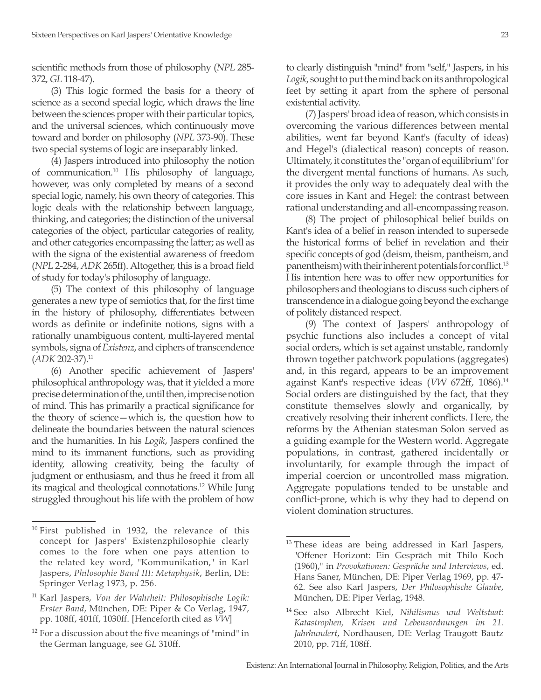scientific methods from those of philosophy (*NPL* 285- 372, *GL* 118-47).

(3) This logic formed the basis for a theory of science as a second special logic, which draws the line between the sciences proper with their particular topics, and the universal sciences, which continuously move toward and border on philosophy (*NPL* 373-90). These two special systems of logic are inseparably linked.

(4) Jaspers introduced into philosophy the notion of communication.10 His philosophy of language, however, was only completed by means of a second special logic, namely, his own theory of categories. This logic deals with the relationship between language, thinking, and categories; the distinction of the universal categories of the object, particular categories of reality, and other categories encompassing the latter; as well as with the signa of the existential awareness of freedom (*NPL* 2-284, *ADK* 265ff). Altogether, this is a broad field of study for today's philosophy of language.

(5) The context of this philosophy of language generates a new type of semiotics that, for the first time in the history of philosophy, differentiates between words as definite or indefinite notions, signs with a rationally unambiguous content, multi-layered mental symbols, signa of *Existenz*, and ciphers of transcendence (*ADK* 202-37).11

(6) Another specific achievement of Jaspers' philosophical anthropology was, that it yielded a more precise determination of the, until then, imprecise notion of mind. This has primarily a practical significance for the theory of science—which is, the question how to delineate the boundaries between the natural sciences and the humanities. In his *Logik*, Jaspers confined the mind to its immanent functions, such as providing identity, allowing creativity, being the faculty of judgment or enthusiasm, and thus he freed it from all its magical and theological connotations.12 While Jung struggled throughout his life with the problem of how to clearly distinguish "mind" from "self," Jaspers, in his *Logik*, sought to put the mind back on its anthropological feet by setting it apart from the sphere of personal existential activity.

(7) Jaspers' broad idea of reason, which consists in overcoming the various differences between mental abilities, went far beyond Kant's (faculty of ideas) and Hegel's (dialectical reason) concepts of reason. Ultimately, it constitutes the "organ of equilibrium" for the divergent mental functions of humans. As such, it provides the only way to adequately deal with the core issues in Kant and Hegel: the contrast between rational understanding and all-encompassing reason.

(8) The project of philosophical belief builds on Kant's idea of a belief in reason intended to supersede the historical forms of belief in revelation and their specific concepts of god (deism, theism, pantheism, and panentheism) with their inherent potentials for conflict.13 His intention here was to offer new opportunities for philosophers and theologians to discuss such ciphers of transcendence in a dialogue going beyond the exchange of politely distanced respect.

(9) The context of Jaspers' anthropology of psychic functions also includes a concept of vital social orders, which is set against unstable, randomly thrown together patchwork populations (aggregates) and, in this regard, appears to be an improvement against Kant's respective ideas (VW 672ff, 1086).<sup>14</sup> Social orders are distinguished by the fact, that they constitute themselves slowly and organically, by creatively resolving their inherent conflicts. Here, the reforms by the Athenian statesman Solon served as a guiding example for the Western world. Aggregate populations, in contrast, gathered incidentally or involuntarily, for example through the impact of imperial coercion or uncontrolled mass migration. Aggregate populations tended to be unstable and conflict-prone, which is why they had to depend on violent domination structures.

<sup>&</sup>lt;sup>10</sup> First published in 1932, the relevance of this concept for Jaspers' Existenzphilosophie clearly comes to the fore when one pays attention to the related key word, "Kommunikation," in Karl Jaspers, *Philosophie Band III: Metaphysik*, Berlin, DE: Springer Verlag 1973, p. 256.

<sup>11</sup> Karl Jaspers, *Von der Wahrheit: Philosophische Logik: Erster Band*, München, DE: Piper & Co Verlag, 1947, pp. 108ff, 401ff, 1030ff. [Henceforth cited as *VW*]

 $12$  For a discussion about the five meanings of "mind" in the German language, see *GL* 310ff.

<sup>&</sup>lt;sup>13</sup> These ideas are being addressed in Karl Jaspers, "Offener Horizont: Ein Gespräch mit Thilo Koch (1960)," in *Provokationen: Gespräche und Interviews*, ed. Hans Saner, München, DE: Piper Verlag 1969, pp. 47- 62. See also Karl Jaspers, *Der Philosophische Glaube*, München, DE: Piper Verlag, 1948.

<sup>14</sup> See also Albrecht Kiel, *Nihilismus und Weltstaat: Katastrophen, Krisen und Lebensordnungen im 21. Jahrhundert*, Nordhausen, DE: Verlag Traugott Bautz 2010, pp. 71ff, 108ff.